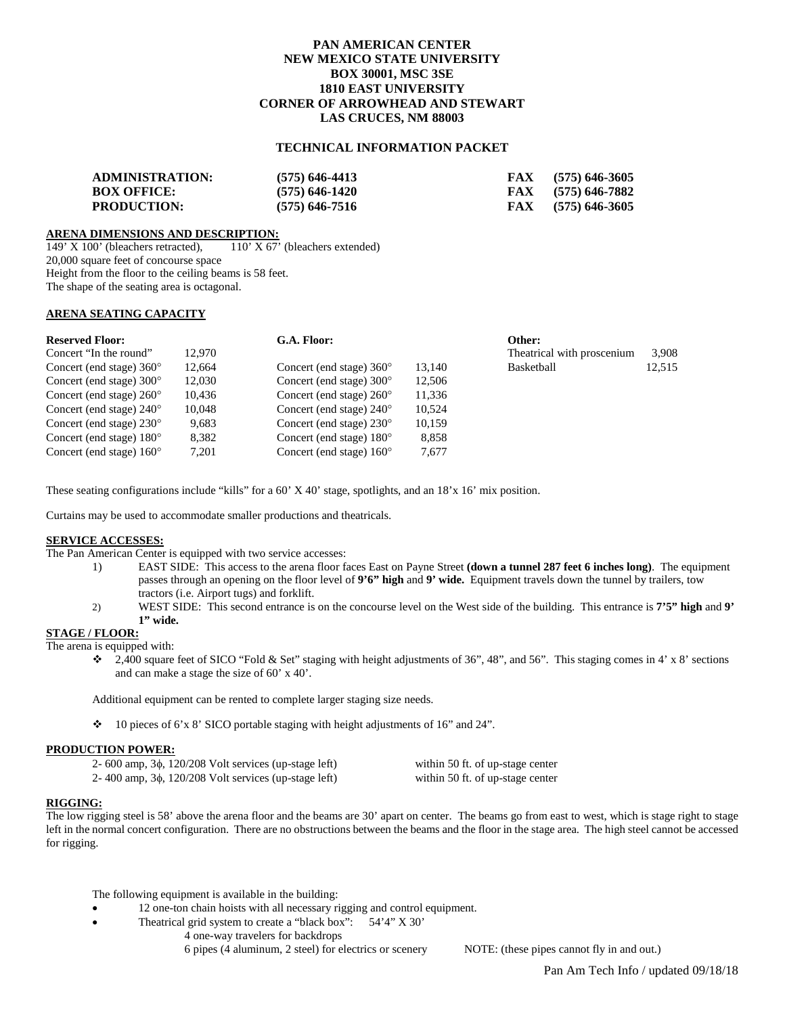# **PAN AMERICAN CENTER NEW MEXICO STATE UNIVERSITY BOX 30001, MSC 3SE 1810 EAST UNIVERSITY CORNER OF ARROWHEAD AND STEWART LAS CRUCES, NM 88003**

# **TECHNICAL INFORMATION PACKET**

| <b>ADMINISTRATION:</b> | $(575)$ 646-4413 | $FAX$ (575) 646-3605 |
|------------------------|------------------|----------------------|
| <b>BOX OFFICE:</b>     | $(575)$ 646-1420 | $FAX$ (575) 646-7882 |
| <b>PRODUCTION:</b>     | $(575)$ 646-7516 | $FAX$ (575) 646-3605 |

**ARENA DIMENSIONS AND DESCRIPTION:**<br>149' X 100' (bleachers retracted), 110' X 67' (bleachers extended) 149' X 100' (bleachers retracted), 20,000 square feet of concourse space Height from the floor to the ceiling beams is 58 feet. The shape of the seating area is octagonal.

# **ARENA SEATING CAPACITY**

| <b>Reserved Floor:</b>            |        | G.A. Floor:                       |        | Other:                     |        |
|-----------------------------------|--------|-----------------------------------|--------|----------------------------|--------|
| Concert "In the round"            | 12.970 |                                   |        | Theatrical with proscenium | 3,908  |
| Concert (end stage) $360^{\circ}$ | 12,664 | Concert (end stage) $360^{\circ}$ | 13.140 | Basketball                 | 12,515 |
| Concert (end stage) $300^{\circ}$ | 12.030 | Concert (end stage) $300^{\circ}$ | 12.506 |                            |        |
| Concert (end stage) $260^{\circ}$ | 10,436 | Concert (end stage) $260^{\circ}$ | 11,336 |                            |        |
| Concert (end stage) $240^{\circ}$ | 10.048 | Concert (end stage) $240^{\circ}$ | 10.524 |                            |        |
| Concert (end stage) $230^{\circ}$ | 9,683  | Concert (end stage) $230^{\circ}$ | 10,159 |                            |        |
| Concert (end stage) $180^{\circ}$ | 8.382  | Concert (end stage) $180^{\circ}$ | 8,858  |                            |        |
| Concert (end stage) $160^{\circ}$ | 7.201  | Concert (end stage) $160^{\circ}$ | 7.677  |                            |        |

These seating configurations include "kills" for a 60' X 40' stage, spotlights, and an 18'x 16' mix position.

Curtains may be used to accommodate smaller productions and theatricals.

## **SERVICE ACCESSES:**

The Pan American Center is equipped with two service accesses:

- 1) EAST SIDE: This access to the arena floor faces East on Payne Street **(down a tunnel 287 feet 6 inches long)**. The equipment passes through an opening on the floor level of **9'6" high** and **9' wide.** Equipment travels down the tunnel by trailers, tow tractors (i.e. Airport tugs) and forklift.
- 2) WEST SIDE: This second entrance is on the concourse level on the West side of the building. This entrance is **7'5" high** and **9' 1" wide.**

# **STAGE / FLOOR:**

The arena is equipped with:

 $\div$  2,400 square feet of SICO "Fold & Set" staging with height adjustments of 36", 48", and 56". This staging comes in 4' x 8' sections and can make a stage the size of 60' x 40'.

Additional equipment can be rented to complete larger staging size needs.

10 pieces of 6'x 8' SICO portable staging with height adjustments of 16" and 24".

## **PRODUCTION POWER:**

| 2- 600 amp, $3\phi$ , 120/208 Volt services (up-stage left) | within 50 ft. of up-stage center |
|-------------------------------------------------------------|----------------------------------|
| 2-400 amp, $3\phi$ , 120/208 Volt services (up-stage left)  | within 50 ft. of up-stage center |

## **RIGGING:**

The low rigging steel is 58' above the arena floor and the beams are 30' apart on center. The beams go from east to west, which is stage right to stage left in the normal concert configuration. There are no obstructions between the beams and the floor in the stage area. The high steel cannot be accessed for rigging.

The following equipment is available in the building:

- 12 one-ton chain hoists with all necessary rigging and control equipment.
- Theatrical grid system to create a "black box":  $54'4''$  X 30"
	- 4 one-way travelers for backdrops
		- 6 pipes (4 aluminum, 2 steel) for electrics or scenery NOTE: (these pipes cannot fly in and out.)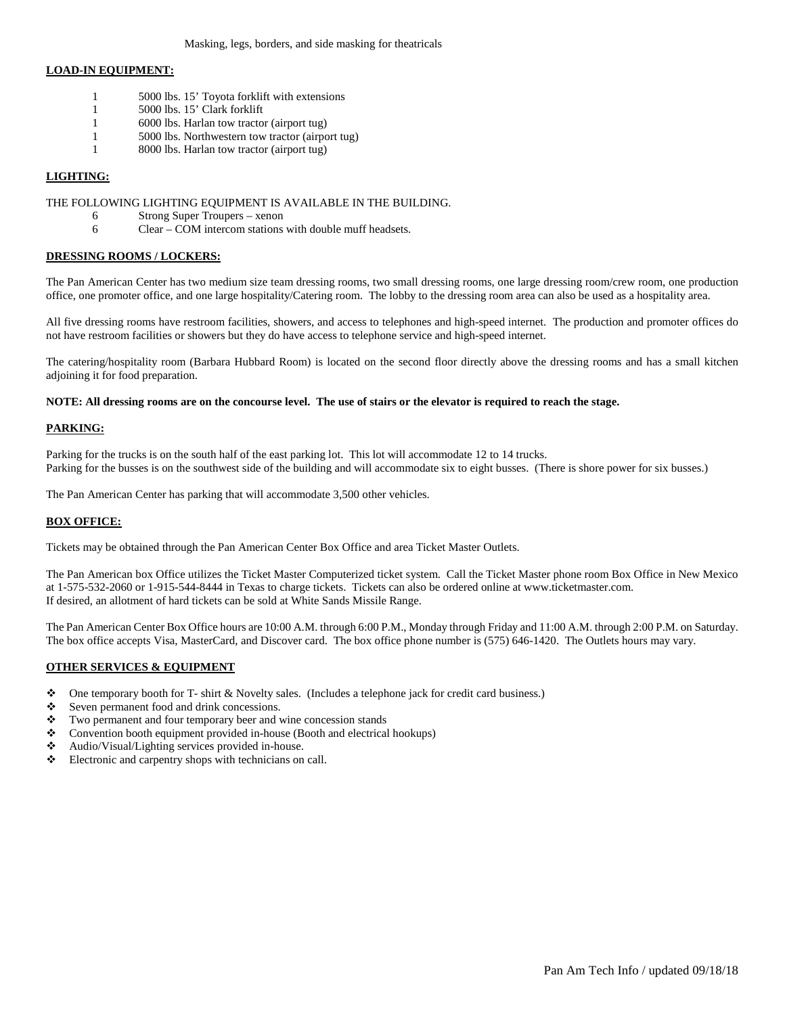# **LOAD-IN EQUIPMENT:**

- 1 5000 lbs. 15' Toyota forklift with extensions
- 1 5000 lbs. 15' Clark forklift
- 1 6000 lbs. Harlan tow tractor (airport tug)
- 1 5000 lbs. Northwestern tow tractor (airport tug)
- 1 8000 lbs. Harlan tow tractor (airport tug)

# **LIGHTING:**

#### THE FOLLOWING LIGHTING EQUIPMENT IS AVAILABLE IN THE BUILDING.

- 6 Strong Super Troupers xenon
- 6 Clear COM intercom stations with double muff headsets.

## **DRESSING ROOMS / LOCKERS:**

The Pan American Center has two medium size team dressing rooms, two small dressing rooms, one large dressing room/crew room, one production office, one promoter office, and one large hospitality/Catering room. The lobby to the dressing room area can also be used as a hospitality area.

All five dressing rooms have restroom facilities, showers, and access to telephones and high-speed internet. The production and promoter offices do not have restroom facilities or showers but they do have access to telephone service and high-speed internet.

The catering/hospitality room (Barbara Hubbard Room) is located on the second floor directly above the dressing rooms and has a small kitchen adjoining it for food preparation.

#### **NOTE: All dressing rooms are on the concourse level. The use of stairs or the elevator is required to reach the stage.**

## **PARKING:**

Parking for the trucks is on the south half of the east parking lot. This lot will accommodate 12 to 14 trucks. Parking for the busses is on the southwest side of the building and will accommodate six to eight busses. (There is shore power for six busses.)

The Pan American Center has parking that will accommodate 3,500 other vehicles.

## **BOX OFFICE:**

Tickets may be obtained through the Pan American Center Box Office and area Ticket Master Outlets.

The Pan American box Office utilizes the Ticket Master Computerized ticket system. Call the Ticket Master phone room Box Office in New Mexico at 1-575-532-2060 or 1-915-544-8444 in Texas to charge tickets. Tickets can also be ordered online at www.ticketmaster.com. If desired, an allotment of hard tickets can be sold at White Sands Missile Range.

The Pan American Center Box Office hours are 10:00 A.M. through 6:00 P.M., Monday through Friday and 11:00 A.M. through 2:00 P.M. on Saturday. The box office accepts Visa, MasterCard, and Discover card. The box office phone number is (575) 646-1420. The Outlets hours may vary.

## **OTHER SERVICES & EQUIPMENT**

- $\bullet$  One temporary booth for T- shirt & Novelty sales. (Includes a telephone jack for credit card business.)
- Seven permanent food and drink concessions.
- \* Two permanent and four temporary beer and wine concession stands
- \* Convention booth equipment provided in-house (Booth and electrical hookups)
- Audio/Visual/Lighting services provided in-house.<br>  $\bullet$  Electronic and carpentry shops with technicians on
- Electronic and carpentry shops with technicians on call.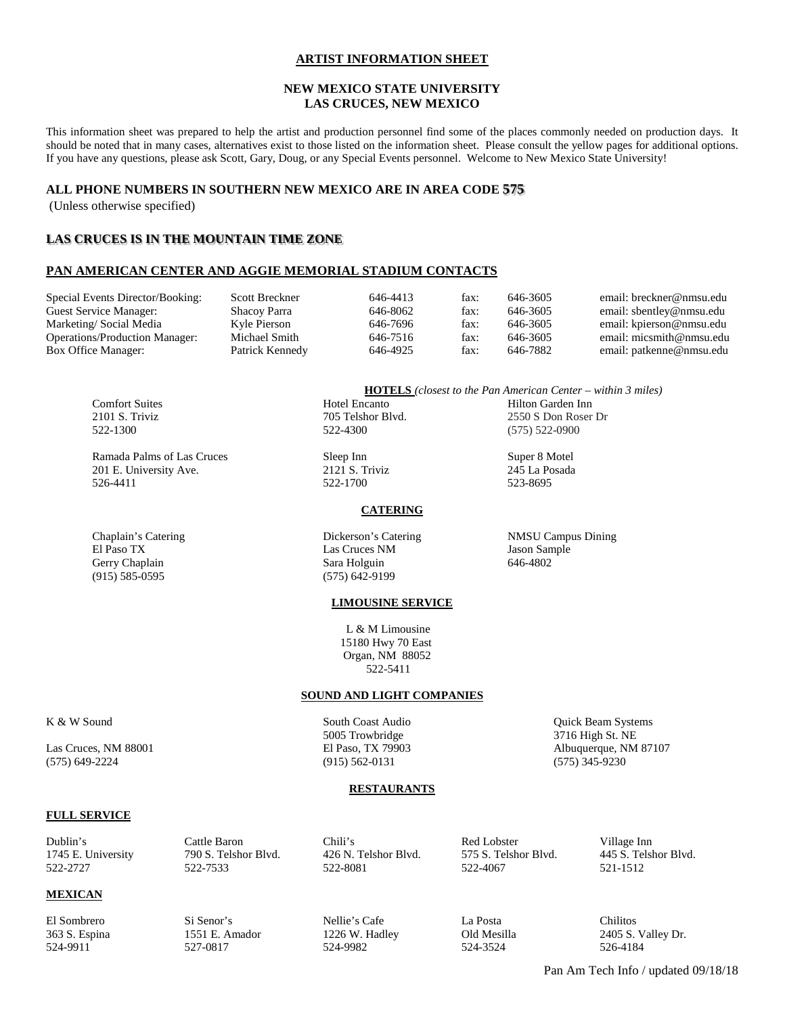# **ARTIST INFORMATION SHEET**

# **NEW MEXICO STATE UNIVERSITY LAS CRUCES, NEW MEXICO**

This information sheet was prepared to help the artist and production personnel find some of the places commonly needed on production days. It should be noted that in many cases, alternatives exist to those listed on the information sheet. Please consult the yellow pages for additional options. If you have any questions, please ask Scott, Gary, Doug, or any Special Events personnel. Welcome to New Mexico State University!

# **ALL PHONE NUMBERS IN SOUTHERN NEW MEXICO ARE IN AREA CODE 575**

(Unless otherwise specified)

# **LAS CRUCES IS IN THE MOUNTAIN TIME ZONE**

# **PAN AMERICAN CENTER AND AGGIE MEMORIAL STADIUM CONTACTS**

| Special Events Director/Booking:      | <b>Scott Breckner</b> | 646-4413 | fax: | 646-3605 | email: breckner@nmsu.edu                                                  |
|---------------------------------------|-----------------------|----------|------|----------|---------------------------------------------------------------------------|
| Guest Service Manager:                | Shacoy Parra          | 646-8062 | fax: | 646-3605 | email: sbentley@nmsu.edu                                                  |
| Marketing/Social Media                | Kyle Pierson          | 646-7696 | fax: | 646-3605 | email: kpierson@nmsu.edu                                                  |
| <b>Operations/Production Manager:</b> | Michael Smith         | 646-7516 | fax: | 646-3605 | email: micsmith@nmsu.edu                                                  |
| Box Office Manager:                   | Patrick Kennedy       | 646-4925 | fax: | 646-7882 | email: patkenne@nmsu.edu                                                  |
|                                       |                       |          |      |          |                                                                           |
|                                       |                       |          |      |          | <b>HOTELS</b> (closest to the Pan American Center – within $\beta$ miles) |

Ramada Palms of Las Cruces Sleep Inn Super 8 Motel 201 E. University Ave. 2121 S. Triviz 245 La Posada 526-4411 522-1700 523-8695

Gerry Chaplain Sara Holguin Sara Holguin (915) 585-0595

Comfort Suites Hotel Encanto Hilton Garden Inn 2101 S. Triviz 2550 S Don Roser Dr<br>
222-1300 252-4300 2522-1300 (575) 522-0900 522-1300 522-4300 (575) 522-0900

# **CATERING**

Chaplain's Catering Dickerson's Catering NMSU Campus Dining Las Cruces NM Jason Sample<br>
Sara Holguin 646-4802  $(575)$  642-9199

## **LIMOUSINE SERVICE**

 L & M Limousine 15180 Hwy 70 East Organ, NM 88052 522-5411

# **SOUND AND LIGHT COMPANIES**

5005 Trowbridge 3716 High St. NE  $(915) 562 - 0131$ 

K & W Sound South Coast Audio Audio Cuick Beam Systems Las Cruces, NM 88001 El Paso, TX 79903 Albuquerque, NM 87107<br>
(575) 649-2224 (915) 562-0131 (575) 345-9230

## **RESTAURANTS**

# **FULL SERVICE**

| Dublin's           | Cattle Baron -       | Chili's              | Red Lobster          | Village Inn          |
|--------------------|----------------------|----------------------|----------------------|----------------------|
| 1745 E. University | 790 S. Telshor Blvd. | 426 N. Telshor Blyd. | 575 S. Telshor Blyd. | 445 S. Telshor Blyd. |
| 522-2727           | 522-7533             | 522-8081             | 522-4067             | 521-1512             |

# **MEXICAN**

524-9911 527-0817 524-9982 524-3524 526-4184

El Sombrero Si Senor's Nellie's Cafe La Posta Chilitos

363 S. Espina 1551 E. Amador 1226 W. Hadley Old Mesilla 2405 S. Valley Dr.

Pan Am Tech Info / updated 09/18/18